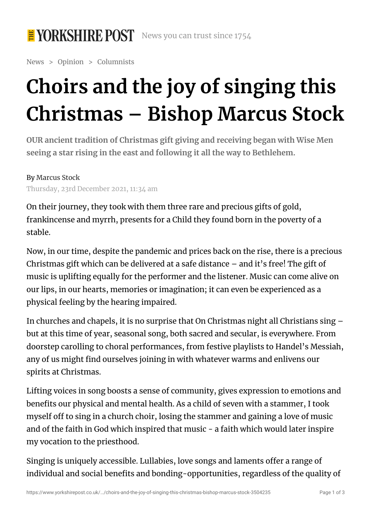

News > Opinion > Columnists

## **Choirs and the joy of singing this Christmas – Bishop Marcus Stock**

**OUR ancient tradition of Christmas gift giving and receiving began with Wise Men seeing a star rising in the east and following it all the way to Bethlehem.**

By [Marcus](https://www.yorkshirepost.co.uk/news/opinion/columnists/choirs-and-the-joy-of-singing-this-christmas-bishop-marcus-stock-3504235#) Stock Thursday, 23rd December 2021, 11:34 am

On their journey, they took with them three rare and precious gifts of gold, frankincense and myrrh, presents for a Child they found born in the poverty of a stable.

Now, in our time, despite the pandemic and prices back on the rise, there is a precious Christmas gift which can be delivered at a safe distance – and it's free! The gift of music is uplifting equally for the performer and the listener. Music can come alive on our lips, in our hearts, memories or imagination; it can even be experienced as a physical feeling by the hearing impaired.

In churches and chapels, it is no surprise that On Christmas night all Christians sing – but at this time of year, seasonal song, both sacred and secular, is everywhere. From doorstep carolling to choral performances, from festive playlists to Handel's Messiah, any of us might find ourselves joining in with whatever warms and enlivens our spirits at Christmas.

Lifting voices in song boosts a sense of community, gives expression to emotions and benefits our physical and mental health. As a child of seven with a stammer, I took myself off to sing in a church choir, losing the stammer and gaining a love of music and of the faith in God which inspired that music - a faith which would later inspire my vocation to the priesthood.

Singing is uniquely accessible. Lullabies, love songs and laments offer a range of individual and social benefits and bonding-opportunities, regardless of the quality of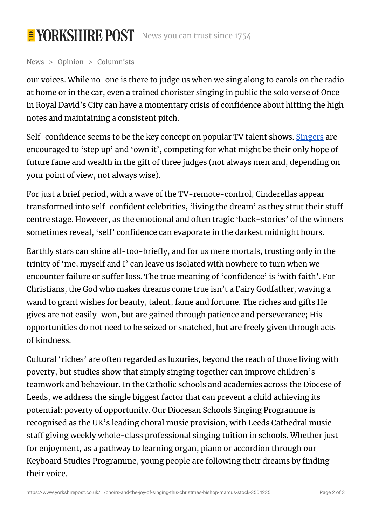## E YORKSHIRE POST News you can trust since 1754

News > Opinion > Columnists

our voices. While no-one is there to judge us when we sing along to carols on the radio at home or in the car, even a trained chorister singing in public the solo verse of Once in Royal David's City can have a momentary crisis of confidence about hitting the high notes and maintaining a consistent pitch.

Self-confidence seems to be the key concept on popular TV talent shows. [Singers](https://www.yorkshirepost.co.uk/topic/singers) are encouraged to 'step up' and 'own it', competing for what might be their only hope of future fame and wealth in the gift of three judges (not always men and, depending on your point of view, not always wise).

For just a brief period, with a wave of the TV-remote-control, Cinderellas appear transformed into self-confident celebrities, 'living the dream' as they strut their stuff centre stage. However, as the emotional and often tragic 'back-stories' of the winners sometimes reveal, 'self' confidence can evaporate in the darkest midnight hours.

Earthly stars can shine all-too-briefly, and for us mere mortals, trusting only in the trinity of 'me, myself and I' can leave us isolated with nowhere to turn when we encounter failure or suffer loss. The true meaning of 'confidence' is 'with faith'. For Christians, the God who makes dreams come true isn't a Fairy Godfather, waving a wand to grant wishes for beauty, talent, fame and fortune. The riches and gifts He gives are not easily-won, but are gained through patience and perseverance; His opportunities do not need to be seized or snatched, but are freely given through acts of kindness.

Cultural 'riches' are often regarded as luxuries, beyond the reach of those living with poverty, but studies show that simply singing together can improve children's teamwork and behaviour. In the Catholic schools and academies across the Diocese of Leeds, we address the single biggest factor that can prevent a child achieving its potential: poverty of opportunity. Our Diocesan Schools Singing Programme is recognised as the UK's leading choral music provision, with Leeds Cathedral music staff giving weekly whole-class professional singing tuition in schools. Whether just for enjoyment, as a pathway to learning organ, piano or accordion through our Keyboard Studies Programme, young people are following their dreams by finding their voice.